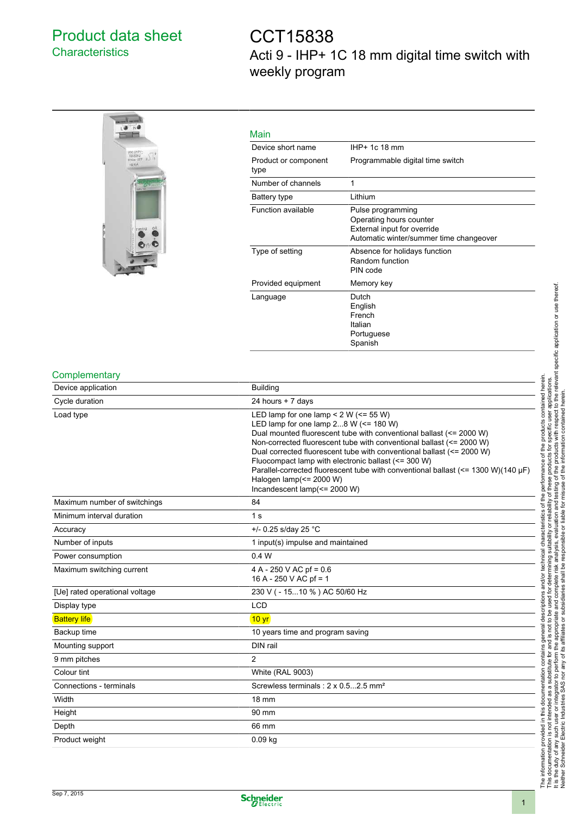## Product data sheet **Characteristics**

# CCT15838 Acti 9 - IHP+ 1C 18 mm digital time switch with weekly program



### Main

| IHP+ 1c 18 mm                                                                                                          |
|------------------------------------------------------------------------------------------------------------------------|
| Programmable digital time switch                                                                                       |
| 1                                                                                                                      |
| Lithium                                                                                                                |
| Pulse programming<br>Operating hours counter<br>External input for override<br>Automatic winter/summer time changeover |
| Absence for holidays function<br>Random function<br>PIN code                                                           |
| Memory key                                                                                                             |
| Dutch<br>English<br>French<br>Italian<br>Portuguese<br>Spanish                                                         |
|                                                                                                                        |

#### **Complementary**

| Device application             | <b>Building</b>                                                                                                                                                                                                                                                                                                                                                                                                                                                                                                           |
|--------------------------------|---------------------------------------------------------------------------------------------------------------------------------------------------------------------------------------------------------------------------------------------------------------------------------------------------------------------------------------------------------------------------------------------------------------------------------------------------------------------------------------------------------------------------|
| Cycle duration                 | 24 hours + 7 days                                                                                                                                                                                                                                                                                                                                                                                                                                                                                                         |
| Load type                      | LED lamp for one lamp < $2 W (= 55 W)$<br>LED lamp for one lamp $28$ W ( $\leq$ 180 W)<br>Dual mounted fluorescent tube with conventional ballast (<= 2000 W)<br>Non-corrected fluorescent tube with conventional ballast (<= 2000 W)<br>Dual corrected fluorescent tube with conventional ballast (<= 2000 W)<br>Fluocompact lamp with electronic ballast (<= 300 W)<br>Parallel-corrected fluorescent tube with conventional ballast $\ll$ = 1300 W)(140 µF)<br>Halogen lamp(<= 2000 W)<br>Incandescent lamp(<= 2000 W) |
| Maximum number of switchings   | 84                                                                                                                                                                                                                                                                                                                                                                                                                                                                                                                        |
| Minimum interval duration      | 1 <sub>s</sub>                                                                                                                                                                                                                                                                                                                                                                                                                                                                                                            |
| Accuracy                       | +/- 0.25 s/day 25 °C                                                                                                                                                                                                                                                                                                                                                                                                                                                                                                      |
| Number of inputs               | 1 input(s) impulse and maintained                                                                                                                                                                                                                                                                                                                                                                                                                                                                                         |
| Power consumption              | 0.4 W                                                                                                                                                                                                                                                                                                                                                                                                                                                                                                                     |
| Maximum switching current      | 4 A - 250 V AC pf = 0.6<br>16 A - 250 V AC pf = 1                                                                                                                                                                                                                                                                                                                                                                                                                                                                         |
| [Ue] rated operational voltage | 230 V ( - 1510 %) AC 50/60 Hz                                                                                                                                                                                                                                                                                                                                                                                                                                                                                             |
| Display type                   | <b>LCD</b>                                                                                                                                                                                                                                                                                                                                                                                                                                                                                                                |
| <b>Battery life</b>            | 10 <sub>yr</sub>                                                                                                                                                                                                                                                                                                                                                                                                                                                                                                          |
| Backup time                    | 10 years time and program saving                                                                                                                                                                                                                                                                                                                                                                                                                                                                                          |
| Mounting support               | DIN rail                                                                                                                                                                                                                                                                                                                                                                                                                                                                                                                  |
| 9 mm pitches                   | 2                                                                                                                                                                                                                                                                                                                                                                                                                                                                                                                         |
| Colour tint                    | <b>White (RAL 9003)</b>                                                                                                                                                                                                                                                                                                                                                                                                                                                                                                   |
| Connections - terminals        | Screwless terminals: 2 x 0.52.5 mm <sup>2</sup>                                                                                                                                                                                                                                                                                                                                                                                                                                                                           |
| Width                          | 18 mm                                                                                                                                                                                                                                                                                                                                                                                                                                                                                                                     |
| Height                         | 90 mm                                                                                                                                                                                                                                                                                                                                                                                                                                                                                                                     |
| Depth                          | 66 mm                                                                                                                                                                                                                                                                                                                                                                                                                                                                                                                     |
| Product weight                 | $0.09$ kg                                                                                                                                                                                                                                                                                                                                                                                                                                                                                                                 |